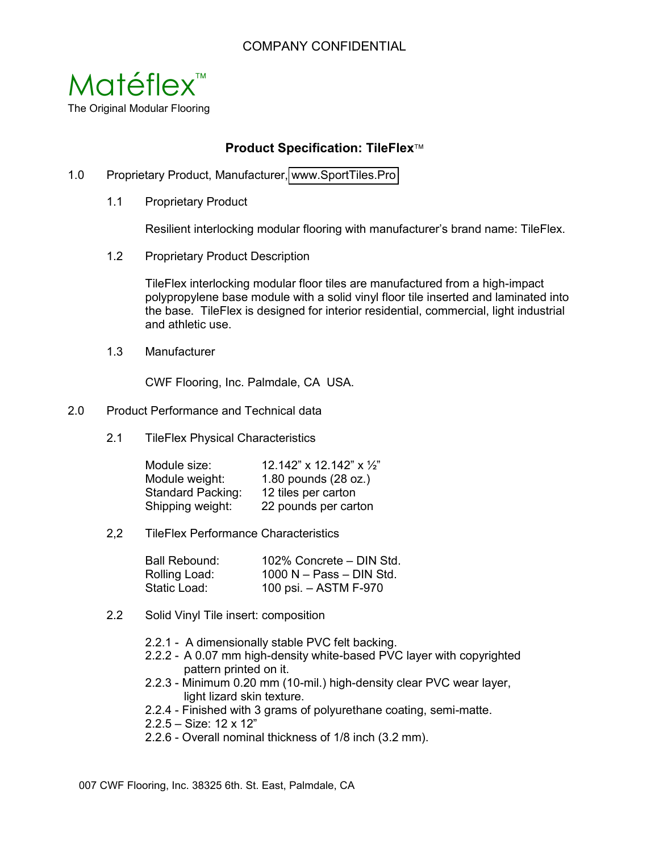## **Product Specification: TileFlex**

- 1.0 Proprietary Product, Manufacturer, www.Spor[tTiles.Pro](http://sporttiles.pro)
	- 1.1 Proprietary Product

Resilient interlocking modular flooring with manufacturer's brand name: TileFlex.

1.2 Proprietary Product Description

TileFlex interlocking modular floor tiles are manufactured from a high-impact polypropylene base module with a solid vinyl floor tile inserted and laminated into the base. TileFlex is designed for interior residential, commercial, light industrial and athletic use.

1.3 Manufacturer

CWF Flooring, Inc. Palmdale, CA USA.

- 2.0 Product Performance and Technical data
	- 2.1 TileFlex Physical Characteristics

| Module size:             | 12.142" x 12.142" x $\frac{1}{2}$ " |
|--------------------------|-------------------------------------|
| Module weight:           | 1.80 pounds (28 oz.)                |
| <b>Standard Packing:</b> | 12 tiles per carton                 |
| Shipping weight:         | 22 pounds per carton                |

2,2 TileFlex Performance Characteristics

| Ball Rebound: | 102% Concrete - DIN Std.   |
|---------------|----------------------------|
| Rolling Load: | $1000 N - Pass - DIN Std.$ |
| Static Load:  | 100 psi. – ASTM F-970      |

- 2.2 Solid Vinyl Tile insert: composition
	- 2.2.1 A dimensionally stable PVC felt backing.
	- 2.2.2 A 0.07 mm high-density white-based PVC layer with copyrighted pattern printed on it.
	- 2.2.3 Minimum 0.20 mm (10-mil.) high-density clear PVC wear layer, light lizard skin texture.
	- 2.2.4 Finished with 3 grams of polyurethane coating, semi-matte.
	- 2.2.5 Size: 12 x 12"
	- 2.2.6 Overall nominal thickness of 1/8 inch (3.2 mm).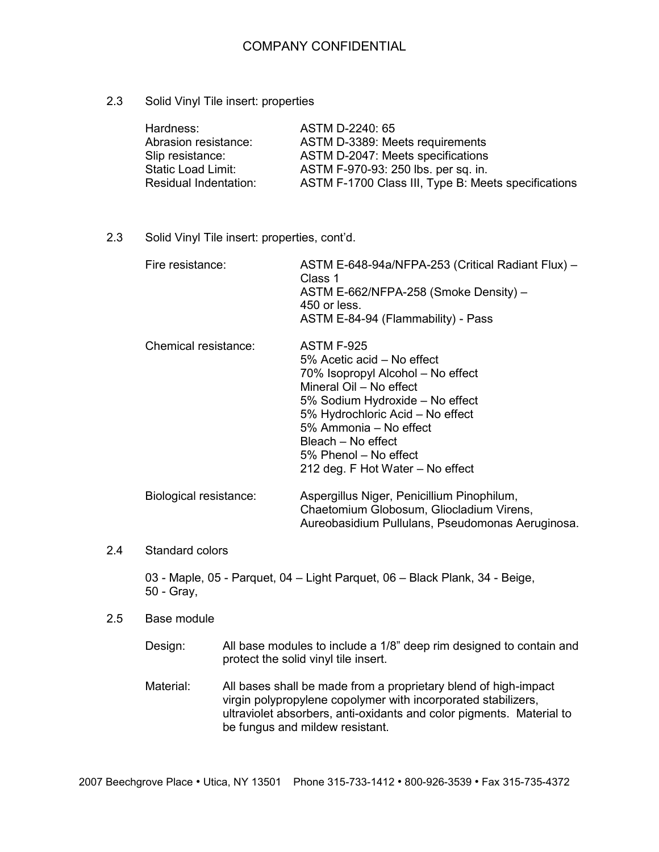## COMPANY CONFIDENTIAL

## 2.3 Solid Vinyl Tile insert: properties

| Hardness:                 | ASTM D-2240: 65                                     |
|---------------------------|-----------------------------------------------------|
| Abrasion resistance:      | ASTM D-3389: Meets requirements                     |
| Slip resistance:          | ASTM D-2047: Meets specifications                   |
| <b>Static Load Limit:</b> | ASTM F-970-93: 250 lbs. per sq. in.                 |
| Residual Indentation:     | ASTM F-1700 Class III, Type B: Meets specifications |

2.3 Solid Vinyl Tile insert: properties, cont'd.

| Fire resistance:       | ASTM E-648-94a/NFPA-253 (Critical Radiant Flux) -<br>Class 1<br>ASTM E-662/NFPA-258 (Smoke Density) –<br>450 or less.<br>ASTM E-84-94 (Flammability) - Pass                                                                                                                                         |
|------------------------|-----------------------------------------------------------------------------------------------------------------------------------------------------------------------------------------------------------------------------------------------------------------------------------------------------|
| Chemical resistance:   | <b>ASTM F-925</b><br>5% Acetic acid – No effect<br>70% Isopropyl Alcohol - No effect<br>Mineral Oil - No effect<br>5% Sodium Hydroxide - No effect<br>5% Hydrochloric Acid - No effect<br>5% Ammonia – No effect<br>Bleach – No effect<br>5% Phenol – No effect<br>212 deg. F Hot Water – No effect |
| Biological resistance: | Aspergillus Niger, Penicillium Pinophilum,<br>Chaetomium Globosum, Gliocladium Virens,                                                                                                                                                                                                              |

2.4 Standard colors

03 - Maple, 05 - Parquet, 04 – Light Parquet, 06 – Black Plank, 34 - Beige, 50 - Gray,

- 2.5 Base module
	- Design: All base modules to include a 1/8" deep rim designed to contain and protect the solid vinyl tile insert.

Aureobasidium Pullulans, Pseudomonas Aeruginosa.

Material: All bases shall be made from a proprietary blend of high-impact virgin polypropylene copolymer with incorporated stabilizers, ultraviolet absorbers, anti-oxidants and color pigments. Material to be fungus and mildew resistant.